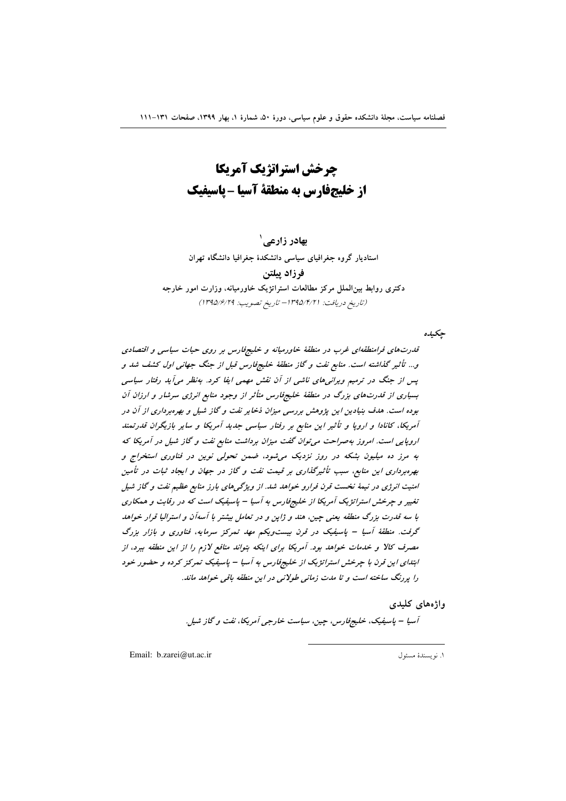چرخش استراتژیک آمریکا از خلیجفارس به منطقة آسیا - پاسیفیک

بهادر زارعے ` استادیار گروه جغرافیای سیاسی دانشکدهٔ جغرافیا دانشگاه تهران فرزاد ييلتن

دکتری روابط بین الملل مرکز مطالعات استراتژیک خاورمیانه، وزارت امور خارجه (تاريخ دريافت: ١٣٩٥/١٣/١-تاريخ تصويب: ١٣٩٥/٢٩/١)

حكىدە

قدرتهای فرامنطقهای غرب در منطقهٔ خاورمیانه و خلیجفارس بر روی حیات سیاسی و اقتصادی و... تأثیر گذاشته است. منابع نفت و گاز منطقهٔ خلیجوفارس قبل از جنگ جهانی اول کشف شد و پس از جنگ در ترمیم ویرانی های ناشی از آن نقش مهمی ایفا کرد. بهنظر میآید رفتار سیاسی بسیاری از قدرتهای بزرگ در منطقهٔ خلیجفارس متأثر از وجود منابع انرژی سرشار و ارزان آن بوده است. هدف بنیادین این پژوهش بررسی میزان ذخایر نفت و گاز شیل و بهرهبرداری از آن در آمریکا، کانادا و اروپا و تأثیر این منابع بر رفتار سیاسی جدید آمریکا و سایر بازیگران قدرتمند اروپایی است. امروز بهصراحت می توان گفت میزان برداشت منابع نفت و گاز شیل در آمریکا که به مرز ده میلیون بشکه در روز نزدیک می شود، ضمن تحولی نوین در فناوری استخراج و بهرهبرداری این منابع، سبب تأثیرگذاری بر قیمت نفت و گاز در جهان و ایجاد ثبات در تأمین امنیت انرژی در نیمهٔ نخست قرن فرارو خواهد شد. از ویژگی های بارز منابع عظیم نفت و گاز شیل تغییر و چرخش استراتژیک آمریکا از خلیجفارس به آسیا – پاسیفیک است که در رقابت و همکاری با سه قدرت بزرگ منطقه یعنی چین، هند و ژاپن و در تعامل بیشتر با آسهآن و استرالیا قرار خواهد گرفت. منطقهٔ آسیا – پاسیفیک در قرن بیست ویکم مهد تمرکز سرمایه، فناوری و بازار بزرگ مصرف کالا و خدمات خواهد بود. آمریکا برای اینکه بتواند منافع لازم را از این منطقه ببرد، از ابتدای این قرن با چرخش استراتژیک از خلیجفارس به آسیا – پاسیفیک تمرکز کرده و حضور خود را پررنگ ساخته است و تا مدت زمانی طولانی در این منطقه باقی خواهد ماند.

> واژەهای كليدى آسيا – پاسيفيک، خليج فارس، حين، سياست خارجيي آمريکا، نفت و گاز شيل.

Email: b.zarei@ut.ac.ir

١. نويسندة مسئول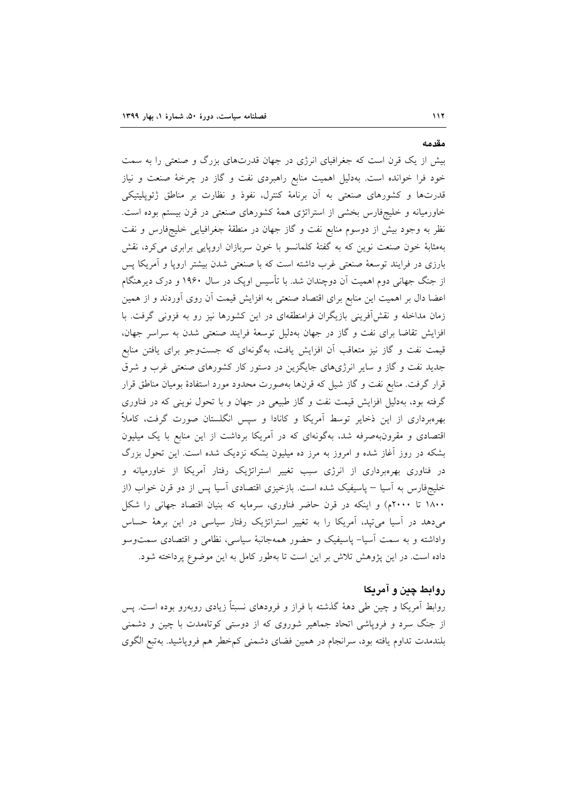بیش از یک قرن است که جغرافیای انرژی در جهان قدرتهای بزرگ و صنعتی را به سمت خود فرا خوانده است. بهدلیل اهمیت منابع راهبردی نفت و گاز در چرخهٔ صنعت و نیاز قدرتها و کشورهای صنعتی به آن برنامهٔ کنترل، نفوذ و نظارت بر مناطق ژئوپلیتیکی خاورمیانه و خلیجفارس بخشی از استراتژی همهٔ کشورهای صنعتی در قرن بیستم بوده است. نظر به وجود بیش از دوسوم منابع نفت و گاز جهان در منطقهٔ جغرافیایی خلیجفارس و نفت بهمثابهٔ خون صنعت نوین که به گفتهٔ کلمانسو با خون سربازان اروپایی برابری میکرد، نقش بارزی در فرایند توسعهٔ صنعتی غرب داشته است که با صنعتی شدن بیشتر اروپا و آمریکا پس از جنگ جهانی دوم اهمیت آن دوچندان شد. با تأسیس اوپک در سال ۱۹۶۰ و درک دیرهنگام اعضا دال بر اهمیت این منابع برای اقتصاد صنعتی به افزایش قیمت آن روی آوردند و از همین زمان مداخله و نقشآفرینی بازیگران فرامنطقهای در این کشورها نیز رو به فزونی گرفت. با افزایش تقاضا برای نفت و گاز در جهان بهدلیل توسعهٔ فرایند صنعتی شدن به سراسر جهان، قیمت نفت و گاز نیز متعاقب آن افزایش یافت، بهگونهای که جستوجو برای یافتن منابع جدید نفت و گاز و سایر انرژیهای جایگزین در دستور کار کشورهای صنعتی غرب و شرق قرار گرفت. منابع نفت و گاز شیل که قرنها بهصورت محدود مورد استفادهٔ بومیان مناطق قرار گرفته بود، بهدلیل افزایش قیمت نفت و گاز طبیعی در جهان و با تحول نوینی که در فناوری بهرهبرداری از این ذخایر توسط آمریکا و کانادا و سپس انگلستان صورت گرفت، کاملاً اقتصادی و مقرونبهصرفه شد، بهگونهای که در آمریکا برداشت از این منابع با یک میلیون بشکه در روز آغاز شده و امروز به مرز ده میلیون بشکه نزدیک شده است. این تحول بزرگ در فناوری بهرهبرداری از انرژی سبب تغییر استراتژیک رفتار آمریکا از خاورمیانه و خلیجفارس به اسیا – پاسیفیک شده است. بازخیزی اقتصادی اسیا پس از دو قرن خواب (از ۱۸۰۰ تا ۲۰۰۰م) و اینکه در قرن حاضر فناوری، سرمایه که بنیان اقتصاد جهانی را شکل میدهد در آسیا میتپد، آمریکا را به تغییر استراتژیک رفتار سیاسی در این برههٔ حساس واداشته و به سمت اَسیا– پاسیفیک و حضور همهجانبهٔ سیاسی، نظامی و اقتصادی سمتوسو داده است. در این پژوهش تلاش بر این است تا بهطور کامل به این موضوع پرداخته شود.

## روابط چين و آمريکا

روابط اَمریکا و چین طی دههٔ گذشته با فراز و فرودهای نسبتاً زیادی روبهرو بوده است. پس از جنگ سرد و فروپاشی اتحاد جماهیر شوروی که از دوستی کوتاهمدت با چین و دشمنی بلندمدت تداوم یافته بود، سرانجام در همین فضای دشمنی کمخطر هم فروپاشید. بهتبع الگوی

مقدمه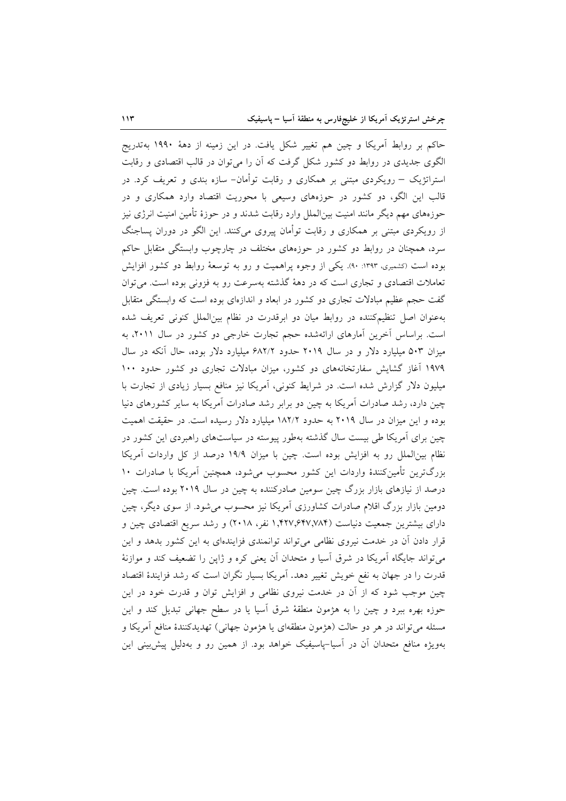حاکم بر روابط اَمریکا و چین هم تغییر شکل یافت. در این زمینه از دههٔ ۱۹۹۰ بهتدریج الگوی جدیدی در روابط دو کشور شکل گرفت که آن را می توان در قالب اقتصادی و رقابت استراتژیک – رویکردی مبتنی بر همکاری و رقابت توأمان- سازه بندی و تعریف کرد. در قالب این الگو، دو کشور در حوزههای وسیعی با محوریت اقتصاد وارد همکاری و در حوزههای مهم دیگر مانند امنیت بین|لملل وارد رقابت شدند و در حوزهٔ تأمین امنیت انرژی نیز از رویکردی مبتنی بر همکاری و رقابت توأمان پیروی میکنند. این الگو در دوران پساجنگ سرد، همچنان در روابط دو کشور در حوزههای مختلف در چارچوب وابستگی متقابل حاکم بوده است (کشمیری، ۱۳۹۳: ۹۰). یکی از وجوه پراهمیت و رو به توسعهٔ روابط دو کشور افزایش تعاملات اقتصادی و تجاری است که در دههٔ گذشته بهسرعت رو به فزونی بوده است. می توان گفت حجم عظیم مبادلات تجاری دو کشور در ابعاد و اندازهای بوده است که وابستگی متقابل بهعنوان اصل تنظیمکننده در روابط میان دو ابرقدرت در نظام بینالملل کنونی تعریف شده است. براساس آخرین آمارهای ارائهشده حجم تجارت خارجی دو کشور در سال ۲۰۱۱، به میزان ۵۰۳ میلیارد دلار و در سال ۲۰۱۹ حدود ۶۸۲/۲ میلیارد دلار بوده، حال آنکه در سال ۱۹۷۹ آغاز گشایش سفارتخانههای دو کشور، میزان مبادلات تجاری دو کشور حدود ۱۰۰ میلیون دلار گزارش شده است. در شرایط کنونی، آمریکا نیز منافع بسیار زیادی از تجارت با چین دارد، رشد صادرات آمریکا به چین دو برابر رشد صادرات آمریکا به سایر کشورهای دنیا بوده و این میزان در سال ۲۰۱۹ به حدود ۱۸۲/۲ میلیارد دلار رسیده است. در حقیقت اهمیت چین برای آمریکا طی بیست سال گذشته بهطور پیوسته در سیاستهای راهبردی این کشور در نظام بینالملل رو به افزایش بوده است. چین با میزان ۱۹/۹ درصد از کل واردات آمریکا بزرگترین تأمینکنندهٔ واردات این کشور محسوب میشود، همچنین آمریکا با صادرات ۱۰ درصد از نیازهای بازار بزرگ چین سومین صادرکننده به چین در سال ۲۰۱۹ بوده است. چین دومین بازار بزرگ اقلام صادرات کشاورزی آمریکا نیز محسوب می شود. از سوی دیگر، چین دارای بیشترین جمعیت دنیاست (۱٫۴۲۷٫۶۴۷٫۷۸۴ نفر، ۲۰۱۸) و رشد سریع اقتصادی چین و قرار دادن آن در خدمت نیروی نظامی می تواند توانمندی فزایندهای به این کشور بدهد و این می تواند جایگاه آمریکا در شرق آسیا و متحدان آن یعنی کره و ژاپن را تضعیف کند و موازنهٔ قدرت را در جهان به نفع خویش تغییر دهد. آمریکا بسیار نگران است که رشد فزایندهٔ اقتصاد چین موجب شود که از آن در خدمت نیروی نظامی و افزایش توان و قدرت خود در این حوزه بهره ببرد و چین را به هژمون منطقهٔ شرق اسیا یا در سطح جهانی تبدیل کند و این مسئله می تواند در هر دو حالت (هژمون منطقهای یا هژمون جهانی) تهدیدکنندهٔ منافع آمریکا و بهویژه منافع متحدان آن در آسیا-پاسیفیک خواهد بود. از همین رو و بهدلیل پیش بینی این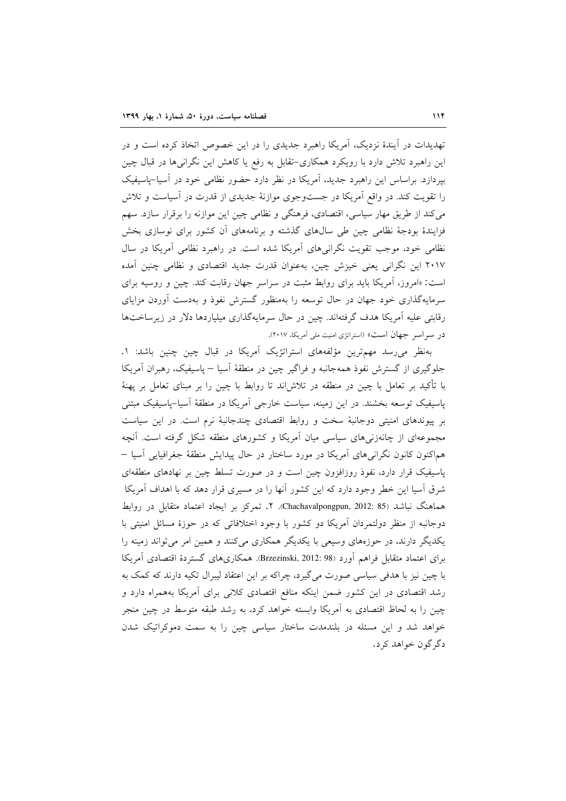تهدیدات در آیندهٔ نزدیک، آمریکا راهبرد جدیدی را در این خصوص اتخاذ کرده است و در این راهبرد تلاش دارد با رویکرد همکاری-تقابل به رفع یا کاهش این نگرانیها در قبال چین بپردازد. براساس این راهبرد جدید، آمریکا در نظر دارد حضور نظامی خود در آسیا-پاسیفیک را تقویت کند. در واقع اَمریکا در جستوجوی موازنهٔ جدیدی از قدرت در اَسیاست و تلاش می کند از طریق مهار سیاسی، اقتصادی، فرهنگی و نظامی چین این موازنه را برقرار سازد. سهم فزایندهٔ بودجهٔ نظامی چین طی سال های گذشته و برنامههای آن کشور برای نوسازی بخش نظامی خود، موجب تقویت نگرانیهای آمریکا شده است. در راهبرد نظامی آمریکا در سال ۲۰۱۷ این نگرانی یعنی خیزش چین، بهعنوان قدرت جدید اقتصادی و نظامی چنین آمده است: «امروز، آمریکا باید برای روابط مثبت در سراسر جهان رقابت کند. چین و روسیه برای سرمایهگذاری خود جهان در حال توسعه را بهمنظور گسترش نفوذ و بهدست آوردن مزایای رقابتی علیه آمریکا هدف گرفتهاند. چین در حال سرمایهگذاری میلیاردها دلار در زیرساختها در سراسر جهان است» (استراتژی امنیت ملی آمریکا، ۲۰۱۷).

بهنظر می رسد مهمترین مؤلفههای استراتژیک آمریکا در قبال چین چنین باشد: ١. جلوگیری از گسترش نفوذ همهجانبه و فراگیر چین در منطقهٔ آسیا – پاسیفیک، رهبران آمریکا با تأکید بر تعامل با چین در منطقه در تلاشlند تا روابط با چین را بر مبنای تعامل بر پهنهٔ پاسیفیک توسعه بخشند. در این زمینه، سیاست خارجی آمریکا در منطقهٔ آسیا-پاسیفیک مبتنی بر پیوندهای امنیتی دوجانبهٔ سخت و روابط اقتصادی چندجانبهٔ نرم است. در این سیاست مجموعهای از چانهزنیهای سیاسی میان آمریکا و کشورهای منطقه شکل گرفته است. آنچه هماکنون کانون نگرانی۵عای آمریکا در مورد ساختار در حال پیدایش منطقهٔ جغرافیایی آسیا – پاسیفیک قرار دارد، نفوذ روزافزون چین است و در صورت تسلط چین بر نهادهای منطقهای شرق آسیا این خطر وجود دارد که این کشور آنها را در مسیری قرار دهد که با اهداف آمریکا هماهنگ نباشد (85 :2012 .Chachavalpongpun, 7. تمركز بر ايجاد اعتماد متقابل در روابط دوجانبه از منظر دولتمردان اَمریکا دو کشور با وجود اختلافاتی که در حوزهٔ مسائل امنیتی با یکدیگر دارند، در حوزههای وسیعی با یکدیگر همکاری میکنند و همین امر میتواند زمینه را برای اعتماد متقابل فراهم آورد (Brzezinski, 2012: 98). همکاریهای گستردهٔ اقتصادی آمریکا با چین نیز با هدفی سیاسی صورت می گیرد، چراکه بر این اعتقاد لیبرال تکیه دارند که کمک به رشد اقتصادی در این کشور ضمن اینکه منافع اقتصادی کلانی برای آمریکا بههمراه دارد و چین را به لحاظ اقتصادی به اَمریکا وابسته خواهد کرد، به رشد طبقه متوسط در چین منجر خواهد شد و این مسئله در بلندمدت ساختار سیاسی چین را به سمت دموکراتیک شدن دگر گون خواهد کرد.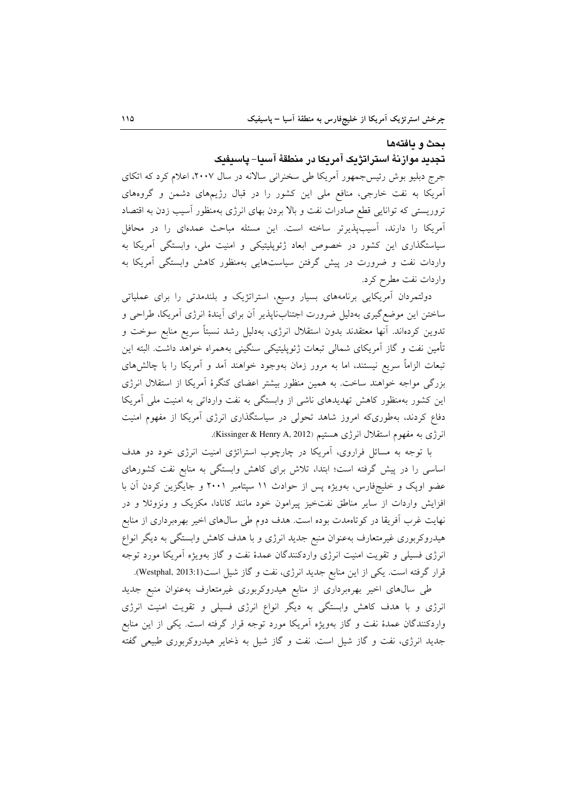### بحث و يافتهها

### تجديد موازنهٔ استراتژيک آمريکا در منطقهٔ آسيا– پاسيفيک

جرج دبلیو بوش رئیس جمهور آمریکا طی سخنرانی سالانه در سال ۲۰۰۷، اعلام کرد که اتکای آمریکا به نفت خارجی، منافع ملی این کشور را در قبال رژیمهای دشمن و گروههای تروریستی که توانایی قطع صادرات نفت و بالا بردن بهای انرژی بهمنظور اسیب زدن به اقتصاد آمریکا را دارند، آسیبپذیرتر ساخته است. این مسئله مباحث عمدهای را در محافل سیاستگذاری این کشور در خصوص ابعاد ژئوپلیتیکی و امنیت ملی، وابستگی آمریکا به واردات نفت و ضرورت در پیش گرفتن سیاستهایی بهمنظور کاهش وابستگی آمریکا به واردات نفت مطرح کرد.

دولتمردان آمریکایی برنامههای بسیار وسیع، استراتژیک و بلندمدتی را برای عملیاتی ساختن این موضع گیری بهدلیل ضرورت اجتنابناپذیر آن برای آیندهٔ انرژی آمریکا، طراحی و تدوین کردهاند. آنها معتقدند بدون استقلال انرژی، بهدلیل رشد نسبتاً سریع منابع سوخت و تأمين نفت و گاز آمريكاي شمالي تبعات ژئوپليتيكي سنگيني بههمراه خواهد داشت. البته اين تبعات الزاماً سریع نیستند، اما به مرور زمان بهوجود خواهند آمد و آمریکا را با چالشهای بزرگی مواجه خواهند ساخت. به همین منظور بیشتر اعضای کنگرهٔ آمریکا از استقلال انرژی این کشور بهمنظور کاهش تهدیدهای ناشی از وابستگی به نفت وارداتی به امنیت ملی آمریکا دفاع کردند، بهطوریکه امروز شاهد تحولی در سیاستگذاری انرژی آمریکا از مفهوم امنیت انرژی به مفهوم استقلال انرژی هستیم (Kissinger & Henry A, 2012).

با توجه به مسائل فراروی، آمریکا در چارچوب استراتژی امنیت انرژی خود دو هدف اساسی را در پیش گرفته است؛ ابتدا، تلاش برای کاهش وابستگی به منابع نفت کشورهای عضو اوپک و خلیجفارس، بهویژه پس از حوادث ١١ سپتامبر ٢٠٠١ و جایگزین کردن آن با افزایش واردات از سایر مناطق نفتخیز پیرامون خود مانند کانادا، مکزیک و ونزوئلا و در نهایت غرب اَفریقا در کوتاهمدت بوده است. هدف دوم طی سال\$ای اخیر بهرهبرداری از منابع هیدروکربوری غیرمتعارف بهعنوان منبع جدید انرژی و با هدف کاهش وابستگی به دیگر انواع انرژی فسیلی و تقویت امنیت انرژی واردکنندگان عمدهٔ نفت و گاز بهویژه آمریکا مورد توجه قرار گرفته است. یکی از این منابع جدید انرژی، نفت و گاز شیل است(Westphal, 2013:1).

طی سالهای اخیر بهرهبرداری از منابع هیدروکربوری غیرمتعارف بهعنوان منبع جدید انرژی و با هدف کاهش وابستگی به دیگر انواع انرژی فسیلی و تقویت امنیت انرژی واردکنندگان عمدهٔ نفت و گاز بهویژه آمریکا مورد توجه قرار گرفته است. یکی از این منابع جدید انرژی، نفت و گاز شیل است. نفت و گاز شیل به ذخایر هیدروکربوری طبیعی گفته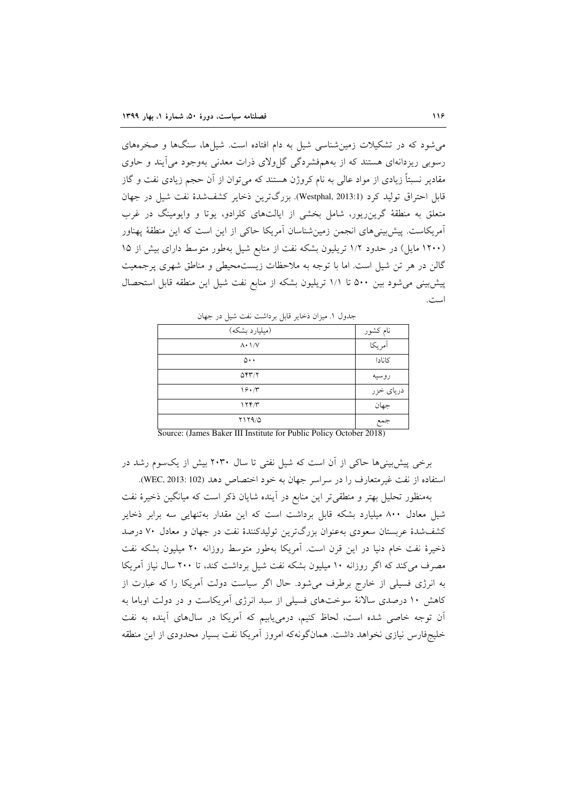می شود که در تشکیلات زمین شناسی شیل به دام افتاده است. شیلها، سنگها و صخرههای رسویی ریزدانهای هستند که از بههمفشردگی گا ولای ذرات معدنی بهوجود می آیند و حاوی مقادیر نسبتاً زیادی از مواد عالی به نام کروژن هستند که می توان از آن حجم زیادی نفت و گاز قابل احتراق تولید کرد (Westphal, 2013:1). بزرگترین ذخایر کشفشدهٔ نفت شیل در جهان متعلق به منطقهٔ گرین ریور، شامل بخشی از ایالتهای کلرادو، یوتا و وایومینگ در غرب آمریکاست. پیش بینیهای انجمن زمین شناسان آمریکا حاکی از این است که این منطقهٔ پهناور (۱۲۰۰ مایل) در حدود ۱/۲ تریلیون بشکه نفت از منابع شیل بهطور متوسط دارای بیش از ۱۵ گالن در هر تن شیل است. اما با توجه به ملاحظات زیستمحیطی و مناطق شهری پرجمعیت پیش بینی می شود بین ۵۰۰ تا ۱/۱ تریلیون بشکه از منابع نفت شیل این منطقه قابل استحصال است.

| .                         |                    |
|---------------------------|--------------------|
| (میلیارد بشکه)            | نام کشور<br>آمریکا |
| $\Lambda \cdot \Lambda/V$ |                    |
| ۵۰۰                       | كانادا             |
| 5437                      | روسيه              |
| 19.7                      |                    |
| 177/T                     | جهان               |
| Y1Y9/0                    |                    |

جدول ١. ميزان ذخاير قابل برداشت نفت شيل در جهان

Source: (James Baker III Institute for Public Policy October 2018)

برخی پیش بینی ها حاکی از آن است که شیل نفتی تا سال ۲۰۳۰ بیش از یکسوم رشد در استفاده از نفت غیرمتعارف را در سراسر جهان به خود اختصاص دهد (WEC, 2013: 102).

بهمنظور تحلیل بهتر و منطقی تر این منابع در آینده شایان ذکر است که میانگین ذخیرهٔ نفت شیل معادل ۸۰۰ میلیارد بشکه قابل برداشت است که این مقدار بهتنهایی سه برابر ذخایر کشفشدهٔ عربستان سعودی بهعنوان بزرگترین تولیدکنندهٔ نفت در جهان و معادل ۷۰ درصد ذخیرهٔ نفت خام دنیا در این قرن است. آمریکا بهطور متوسط روزانه ۲۰ میلیون بشکه نفت مصرف می کند که اگر روزانه ١٠ میلیون بشکه نفت شیل برداشت کند، تا ٢٠٠ سال نیاز آمریکا به انرژی فسیلی از خارج برطرف می شود. حال اگر سیاست دولت آمریکا را که عبارت از کاهش ۱۰ درصدی سالانهٔ سوختهای فسیلی از سبد انرژی آمریکاست و در دولت اوباما به آن توجه خاصی شده است، لحاظ کنیم، درمییابیم که آمریکا در سالهای آینده به نفت خلیجفارس نیازی نخواهد داشت. همانگونهکه امروز آمریکا نفت بسیار محدودی از این منطقه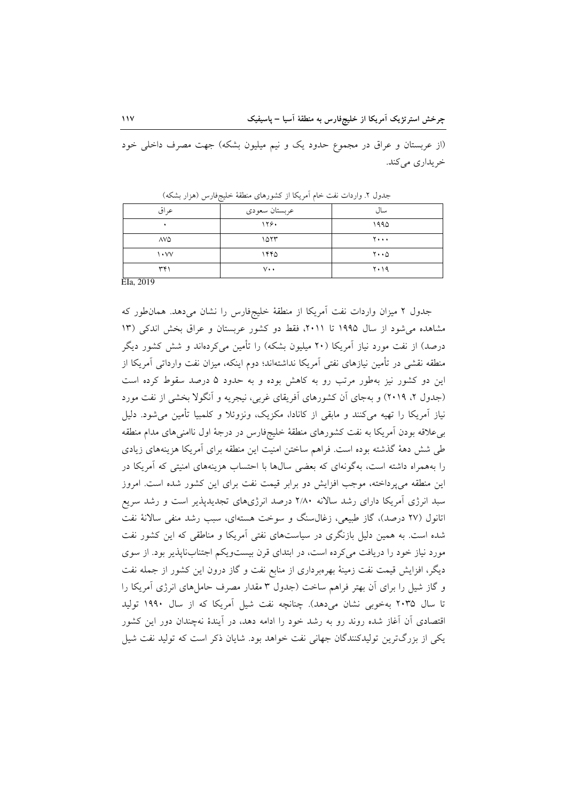(از عربستان و عراق در مجموع حدود یک و نیم میلیون بشکه) جهت مصرف داخلی خود خريداري مي كند.

| عراق                    | عربستان سعودي   | سال                           |
|-------------------------|-----------------|-------------------------------|
| ٠                       | ۱۲۶۰            | ۱۹۹۵                          |
| 7VQ                     | ۱۵۲۳            | ۲۰۰۰                          |
| $\mathsf{v}_\mathsf{v}$ | ۱۴۴۵            | $\mathbf{y} \cdot \mathbf{0}$ |
| ۳۴۱<br>$-1$             | $V \cdot \cdot$ | ۲۰۱۹                          |

جدول ٢. واردات نفت خام أمريكا از كشورهاي منطقهٔ خليجفارس (هزار بشكه)

EIa, 2019

جدول ٢ ميزان واردات نفت آمريكا از منطقة خليجفارس را نشان مى دهد. همان طور كه مشاهده می شود از سال ۱۹۹۵ تا ۲۰۱۱، فقط دو کشور عربستان و عراق بخش اندکی (۱۳ درصد) از نفت مورد نیاز آمریکا (۲۰ میلیون بشکه) را تأمین میکردهاند و شش کشور دیگر منطقه نقشی در تأمین نیازهای نفتی آمریکا نداشتهاند؛ دوم اینکه، میزان نفت وارداتی آمریکا از این دو کشور نیز بهطور مرتب رو به کاهش بوده و به حدود ۵ درصد سقوط کرده است (جدول ۲، ۲۰۱۹) و بهجای آن کشورهای آفریقای غربی، نیجریه و آنگولا بخشی از نفت مورد نیاز آمریکا را تھیه میکنند و مابقی از کانادا، مکزیک، ونزوئلا و کلمبیا تأمین می شود. دلیل بی علاقه بودن آمریکا به نفت کشورهای منطقهٔ خلیجفارس در درجهٔ اول ناامنیهای مدام منطقه طی شش دههٔ گذشته بوده است. فراهم ساختن امنیت این منطقه برای آمریکا هزینههای زیادی را بههمراه داشته است، بهگونهای که بعضی سالها با احتساب هزینههای امنیتی که آمریکا در این منطقه می پرداخته، موجب افزایش دو برابر قیمت نفت برای این کشور شده است. امروز سبد انرژی آمریکا دارای رشد سالانه ۲/۸۰ درصد انرژیهای تجدیدپذیر است و رشد سریع اتانول (۲۷ درصد)، گاز طبیعی، زغال سنگ و سوخت هستهای، سبب رشد منفی سالانهٔ نفت شده است. به همین دلیل بازنگری در سیاستهای نفتی آمریکا و مناطقی که این کشور نفت مورد نیاز خود را دریافت می کرده است، در ابتدای قرن بیستویکم اجتنابنایذیر بود. از سوی دیگر، افزایش قیمت نفت زمینهٔ بهرهبرداری از منابع نفت و گاز درون این کشور از جمله نفت و گاز شیل را برای آن بهتر فراهم ساخت (جدول ۳ مقدار مصرف حاملهای انرژی آمریکا را تا سال ۲۰۳۵ بهخوبی نشان میدهد). چنانچه نفت شیل آمریکا که از سال ۱۹۹۰ تولید اقتصادی آن آغاز شده روند رو به رشد خود را ادامه دهد، در آیندهٔ نهچندان دور این کشور یکی از بزرگترین تولیدکنندگان جهانی نفت خواهد بود. شایان ذکر است که تولید نفت شیل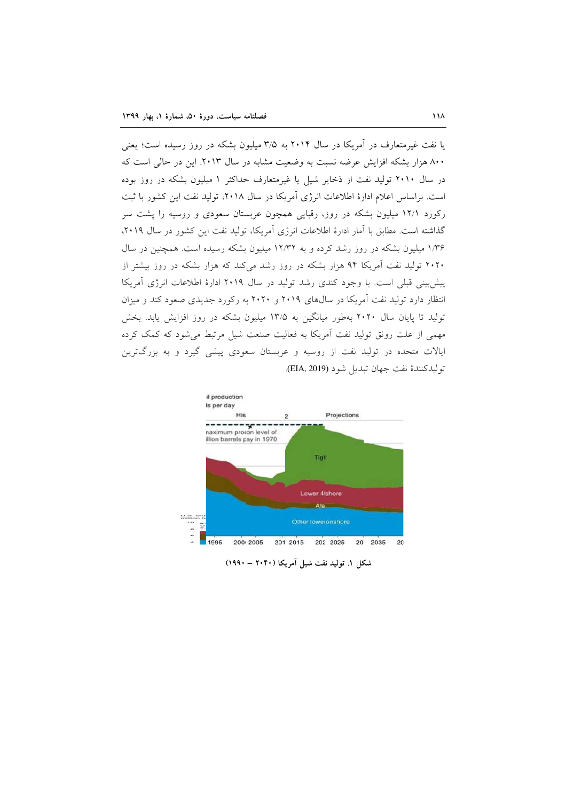یا نفت غیرمتعارف در آمریکا در سال ۲۰۱۴ به ۳/۵ میلیون بشکه در روز رسیده است؛ یعنی ۸۰۰ هزار بشکه افزایش عرضه نسبت به وضعیت مشابه در سال ۲۰۱۳. این در حالی است که در سال ۲۰۱۰ تولید نفت از ذخایر شیل یا غیرمتعارف حداکثر ۱ میلیون بشکه در روز بوده است. براساس اعلام ادارهٔ اطلاعات انرژی آمریکا در سال ۲۰۱۸، تولید نفت این کشور با ثبت رکورد ۱۲/۱ میلیون بشکه در روز، رقبایی همچون عربستان سعودی و روسیه را یشت سر گذاشته است. مطابق با آمار ادارهٔ اطلاعات انرژی آمریکا، تولید نفت این کشور در سال ۲۰۱۹، ۱/۳۶ میلیون بشکه در روز رشد کرده و به ۱۲/۳۲ میلیون بشکه رسیده است. همچنین در سال ۲۰۲۰ تولید نفت آمریکا ۹۴ هزار بشکه در روز رشد می کند که هزار بشکه در روز بیشتر از پیش بینی قبلی است. با وجود کندی رشد تولید در سال ۲۰۱۹ ادارهٔ اطلاعات انرژی آمریکا انتظار دارد تولید نفت آمریکا در سالهای ۲۰۱۹ و ۲۰۲۰ به رکورد جدیدی صعود کند و میزان تولید تا پایان سال ۲۰۲۰ بهطور میانگین به ۱۳/۵ میلیون بشکه در روز افزایش پابد. بخش مهمی از علت رونق تولید نفت آمریکا به فعالیت صنعت شیل مرتبط می شود که کمک کرده ایالات متحده در تولید نفت از روسیه و عربستان سعودی پیشی گیرد و به بزرگترین توليدكنندة نفت جهان تبديل شود (EIA, 2019).



شکل ١. توليد نفت شيل آمريکا (٢٠۴٠ - ١٩٩٠)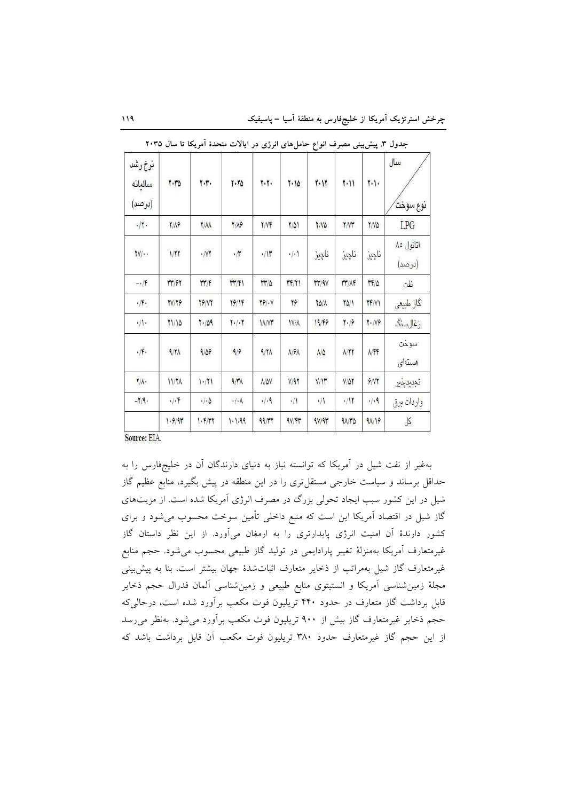|                                   |                    |                     | 1.1/99                                | 99/TT                 | 4V/FY                    | 9V/91            | 41/TQ         | 91/19                         | $\beta$             |
|-----------------------------------|--------------------|---------------------|---------------------------------------|-----------------------|--------------------------|------------------|---------------|-------------------------------|---------------------|
| $-1/9.$                           |                    | $\cdot/\cdot\Delta$ | $\cdot/\cdot\Lambda$                  | .4.9                  | $\cdot/1$                | $\cdot/1$        | .117          | $\cdot/\cdot$ ٩               | واردات برق          |
| $\mathbf{Y}/\mathbf{A}$ .         | 11/7 <sub>A</sub>  | 1.71                | $9/\gamma\Lambda$                     | $A/\Delta V$          | V/97                     | V/Y              | $V/\Delta Y$  | 9/NT                          | تجديديذير           |
| $\cdot$ /F $\cdot$                | 9/11               | 9/09                | 9/9                                   | 9/11                  | $\lambda$ / $9\lambda$   | $\Lambda/\Delta$ | A/TT          | <b>NFF</b>                    | سوخت<br>هستهای      |
| $\cdot/\sqrt{2}$                  | 71/10              | 1.709               | $\mathbf{Y} \cdot / \cdot \mathbf{Y}$ | <b>IANT</b>           | $1V/\Lambda$             | 19/49            | $Y \cdot 19$  | $\mathbf{Y} \cdot \mathbf{N}$ | زغالسنگ             |
| $\cdot/\mathfrak{f}\cdot$         | <b>TV/79</b>       | <b>79/VY</b>        | 19/14                                 | $Y\hat{Y}/\cdot V$    | 28                       | YO/A             | $\frac{1}{2}$ | <b>TF/VI</b>                  | گاز طبیعی           |
| $-1/f$                            | <b>٣٣/۶٢</b>       | rr/F                | rr/F1                                 | $rr/\Delta$           | $\mathsf{FF}/\mathsf{Y}$ | rr/9V            | <b>MY/AF</b>  | 17/0                          | نفت                 |
| $\mathsf{Y}\mathsf{Y}/\cdot\cdot$ | 1/17               | $\cdot$ /VT         | $\cdot/\mathfrak{r}$                  | $\cdot/\mathcal{V}$   | $\cdot/\cdot$            | ناچيز            | ناڇيز         | ناڇيز                         | اتانول ٨٥<br>(درصد) |
| .1                                | <b>Y/A</b>         | <b>Y/M</b>          | <b>T/A9</b>                           | Y/YF                  | 7/01                     | $Y/V\Delta$      | <b>T/V۳</b>   | $Y/N\Delta$                   | LPG                 |
| نرخ رشد<br>سالىانە<br>(درصد)      | $Y \cdot Y \Delta$ | ٢٠٣٠                | 7.70                                  | $\gamma$ . $\gamma$ . | 7.10                     | ٢٠١٢             | ۲۰۱۱          | $\mathbf{y}$                  | سال<br>نوع سوخت     |

جدول ۳. پیشبینی مصرف انواع حاملهای انرژی در ایالات متحدهٔ آمریکا تا سال ۲۰۳۵

Source: EIA.

بهغیر از نفت شیل در آمریکا که توانسته نیاز به دنیای دارندگان آن در خلیجفارس را به حداقل برساند و سیاست خارجی مستقل تری را در این منطقه در پیش بگیرد، منابع عظیم گاز شیل در این کشور سبب ایجاد تحولی بزرگ در مصرف انرژی آمریکا شده است. از مزیتهای گاز شیل در اقتصاد آمریکا این است که منبع داخلی تأمین سوخت محسوب می شود و برای کشور دارندهٔ آن امنیت انرژی پایدارتری را به ارمغان میآورد. از این نظر داستان گاز غیرمتعارف آمریکا بهمنزلهٔ تغییر پارادایمی در تولید گاز طبیعی محسوب میشود. حجم منابع غیرمتعارف گاز شیل بهمراتب از ذخایر متعارف اثباتشدهٔ جهان بیشتر است. بنا به پیش بینی مجلهٔ زمینشناسی آمریکا و انستیتوی منابع طبیعی و زمینشناسی آلمان فدرال حجم ذخایر قابل برداشت گاز متعارف در حدود ۴۴۰ تریلیون فوت مکعب برآورد شده است، درحالی که حجم ذخایر غیرمتعارف گاز بیش از ۹۰۰ تریلیون فوت مکعب برآورد می شود. بهنظر می رسد از این حجم گاز غیرمتعارف حدود ۳۸۰ تریلیون فوت مکعب آن قابل برداشت باشد که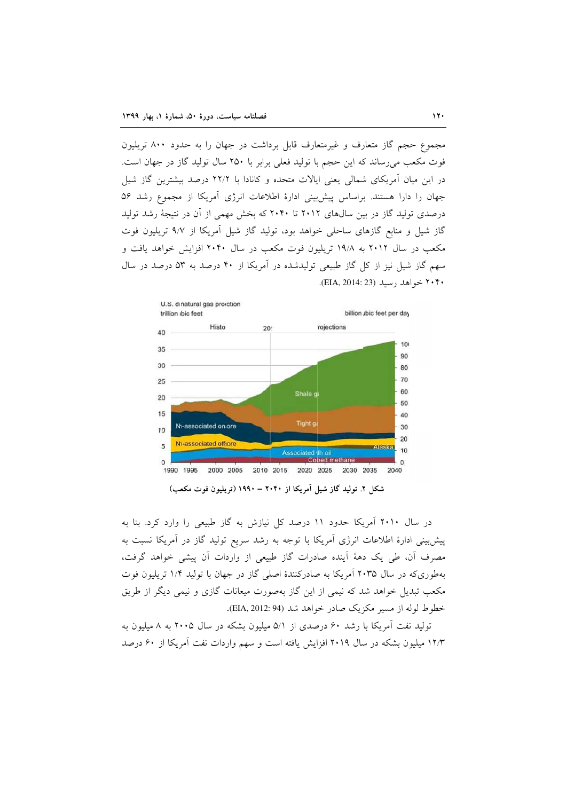مجموع حجم گاز متعارف و غیرمتعارف قابل برداشت در جهان را به حدود ۸۰۰ تریلیون فوت مکعب می رساند که این حجم با تولید فعلی برابر با ۲۵۰ سال تولید گاز در جهان است. در این میان آمریکای شمالی یعنی ایالات متحده و کانادا با ۲۲/۲ درصد بیشترین گاز شیا جهان را دارا هستند. براساس پیش بینی ادارهٔ اطلاعات انرژی آمریکا از مجموع رشد ۵۶ درصدی تولید گاز در بین سالهای ۲۰۱۲ تا ۲۰۴۰ که بخش مهمی از آن در نتیجهٔ رشد تولید گاز شیل و منابع گازهای ساحلی خواهد بود، تولید گاز شیل آمریکا از ۹/۷ تریلیون فوت مکعب در سال ۲۰۱۲ به ۱۹/۸ تریلیون فوت مکعب در سال ۲۰۴۰ افزایش خواهد یافت و سهم گاز شیل نیز از کل گاز طبیعی تولیدشده در آمریکا از ۴۰ درصد به ۵۳ درصد در سال ۲۰۴۰ خواهد رسيد (EIA, 2014: 23).



شکل ۲. تولید گاز شیل آمریکا از ۲۰۴۰ – ۱۹۹۰ (تریلیون فوت مکعب)

در سال ۲۰۱۰ آمریکا حدود ۱۱ درصد کل نیازش به گاز طبیعی را وارد کرد. بنا به پیش بینی ادارهٔ اطلاعات انرژی آمریکا با توجه به رشد سریع تولید گاز در آمریکا نسبت به مصرف أن، طي يک دههٔ اَينده صادرات گاز طبيعي از واردات اَن پيشي خواهد گرفت، بهطوری که در سال ۲۰۳۵ آمریکا به صادرکنندهٔ اصلی گاز در جهان با تولید ۱/۴ تریلیون فوت مکعب تبدیل خواهد شد که نیمی از این گاز بهصورت میعانات گازی و نیمی دیگر از طریق خطوط لوله از مسیر مکزیک صادر خواهد شد (94 :EIA, 2012).

تولید نفت آمریکا با رشد ۶۰ درصدی از ۵/۱ میلیون بشکه در سال ۲۰۰۵ به ۸ میلیون به ۱۲/۳ میلیون بشکه در سال ۲۰۱۹ افزایش یافته است و سهم واردات نفت آمریکا از ۶۰ درصد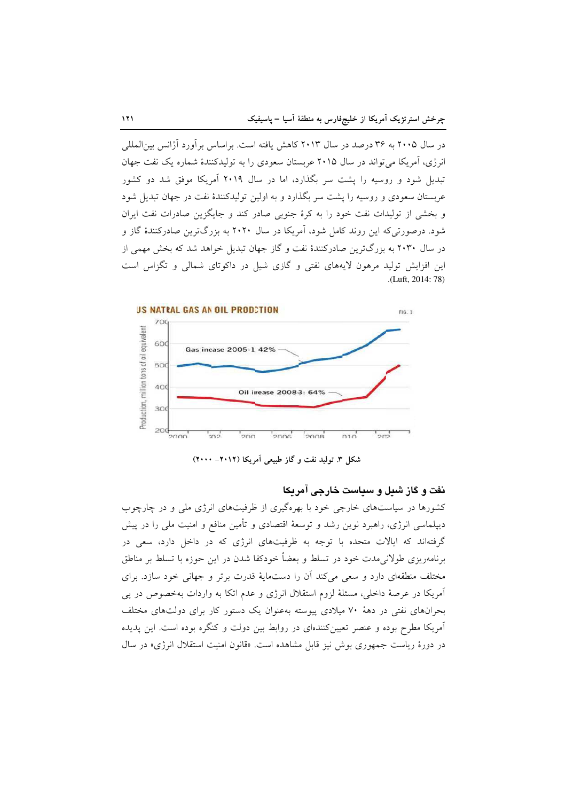در سال ۲۰۰۵ به ۳۶ درصد در سال ۲۰۱۳ کاهش یافته است. براساس برآورد آژانس بین|لمللی انرژی، آمریکا مرتواند در سال ۲۰۱۵ عربستان سعودی را به تولیدکنندهٔ شماره یک نفت جهان تبدیل شود و روسیه را پشت سر بگذارد، اما در سال ۲۰۱۹ آمریکا موفق شد دو کشور عربستان سعودی و روسیه را پشت سر بگذارد و به اولین تولیدکنندهٔ نفت در جهان تبدیل شود و بخشی از تولیدات نفت خود را به کرهٔ جنوبی صادر کند و جایگزین صادرات نفت ایران شود. درصورتی که این روند کامل شود، آمریکا در سال ۲۰۲۰ به بزرگترین صادرکنندهٔ گاز و در سال ۲۰۳۰ به بزرگترین صادرکنندهٔ نفت و گاز جهان تبدیل خواهد شد که بخش مهمی از این افزایش تولید مرهون لایههای نفتی و گازی شیل در داکوتای شمالی و تگزاس است .(Luft, 2014: 78)



شکل ۳. تولید نفت و گاز طبیعی آمریکا (۲۰۱۲– ۲۰۰۰)

### نفت و گاز شیل و سیاست خارجی آمریکا

کشورها در سیاستهای خارجی خود با بهرهگیری از ظرفیتهای انرژی ملی و در چارچوب دیپلماسی انرژی، راهبرد نوین رشد و توسعهٔ اقتصادی و تأمین منافع و امنیت ملی را در پیش گرفتهاند که ایالات متحده با توجه به ظرفیتهای انرژی که در داخل دارد، سعی در برنامهریزی طولانی مدت خود در تسلط و بعضاً خودکفا شدن در این حوزه با تسلط بر مناطق مختلف منطقهای دارد و سعی می کند آن را دستمایهٔ قدرت برتر و جهانی خود سازد. برای آمریکا در عرصهٔ داخلی، مسئلهٔ لزوم استقلال انرژی و عدم اتکا به واردات بهخصوص در یی بحرانهای نفتی در دههٔ ۷۰ میلادی پیوسته بهعنوان یک دستور کار برای دولتهای مختلف آمریکا مطرح بوده و عنصر تعیینکنندهای در روابط بین دولت و کنگره بوده است. این پدیده در دورهٔ ریاست جمهوری بوش نیز قابل مشاهده است. «قانون امنیت استقلال انرژی» در سال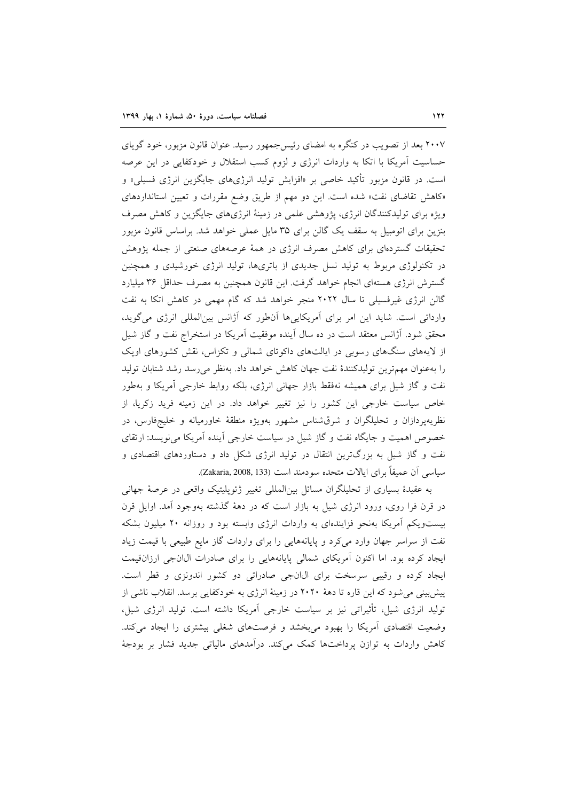۲۰۰۷ بعد از تصویب در کنگره به امضای رئیس جمهور رسید. عنوان قانون مزبور، خود گویای حساسیت آمریکا با اتکا به واردات انرژی و لزوم کسب استقلال و خودکفایی در این عرصه است. در قانون مزبور تأکید خاصی بر «افزایش تولید انرژیهای جایگزین انرژی فسیلی» و «کاهش تقاضای نفت» شده است. این دو مهم از طریق وضع مقررات و تعیین استانداردهای ویژه برای تولیدکنندگان انرژی، پژوهشی علمی در زمینهٔ انرژیهای جایگزین و کاهش مصرف بنزین برای اتومبیل به سقف یک گالن برای ۳۵ مایل عملی خواهد شد. براساس قانون مزبور تحقیقات گستردهای برای کاهش مصرف انرژی در همهٔ عرصههای صنعتی از جمله پژوهش در تکنولوژی مربوط به تولید نسل جدیدی از باتریها، تولید انرژی خورشیدی و همچنین گسترش انرژی هستهای انجام خواهد گرفت. این قانون همچنین به مصرف حداقل ۳۶ میلیارد گالن انرژی غیرفسیلی تا سال ۲۰۲۲ منجر خواهد شد که گام مهمی در کاهش اتکا به نفت وارداتی است. شاید این امر برای آمریکاییها آنطور که آژانس بینالمللی انرژی میگوید، محقق شود. آژانس معتقد است در ده سال آینده موفقیت آمریکا در استخراج نفت و گاز شیل از لایههای سنگهای رسوبی در ایالتهای داکوتای شمالی و تکزاس، نقش کشورهای اوپک را بهعنوان مهمترین تولیدکنندهٔ نفت جهان کاهش خواهد داد. بهنظر میرسد رشد شتابان تولید نفت و گاز شیل برای همیشه نهفقط بازار جهانی انرژی، بلکه روابط خارجی آمریکا و بهطور خاص سیاست خارجی این کشور را نیز تغییر خواهد داد. در این زمینه فرید زکریا، از نظریهپردازان و تحلیلگران و شرقشناس مشهور بهویژه منطقهٔ خاورمیانه و خلیجفارس، در خصوص اهمیت و جایگاه نفت و گاز شیل در سیاست خارجی آینده آمریکا می نویسد: ارتقای نفت و گاز شیل به بزرگترین انتقال در تولید انرژی شکل داد و دستاوردهای اقتصادی و سياسي أن عميقاً براي ايالات متحده سودمند است (Zakaria, 2008, 133).

به عقیدهٔ بسیاری از تحلیلگران مسائل بین|لمللی تغییر ژئوپلیتیک واقعی در عرصهٔ جهانی در قرن فرا روی، ورود انرژی شیل به بازار است که در دههٔ گذشته بهوجود آمد. اوایل قرن بیستویکم أمریکا بهنحو فزایندهای به واردات انرژی وابسته بود و روزانه ۲۰ میلیون بشکه نفت از سراسر جهان وارد می کرد و پایانههایی را برای واردات گاز مایع طبیعی با قیمت زیاد ایجاد کرده بود. اما اکنون آمریکای شمالی پایانههایی را برای صادرات ال\نجی ارزانقیمت ایجاد کرده و رقیبی سرسخت برای ال انجی صادراتی دو کشور اندونزی و قطر است. پیش بینی می شود که این قاره تا دههٔ ۲۰۲۰ در زمینهٔ انرژی به خودکفایی برسد. انقلاب ناشی از تولید انرژی شیل، تأثیراتی نیز بر سیاست خارجی آمریکا داشته است. تولید انرژی شیل، وضعیت اقتصادی آمریکا را بهبود می بخشد و فرصتهای شغلی بیشتری را ایجاد میکند. کاهش واردات به توازن پرداختها کمک میکند. درآمدهای مالیاتی جدید فشار بر بودجهٔ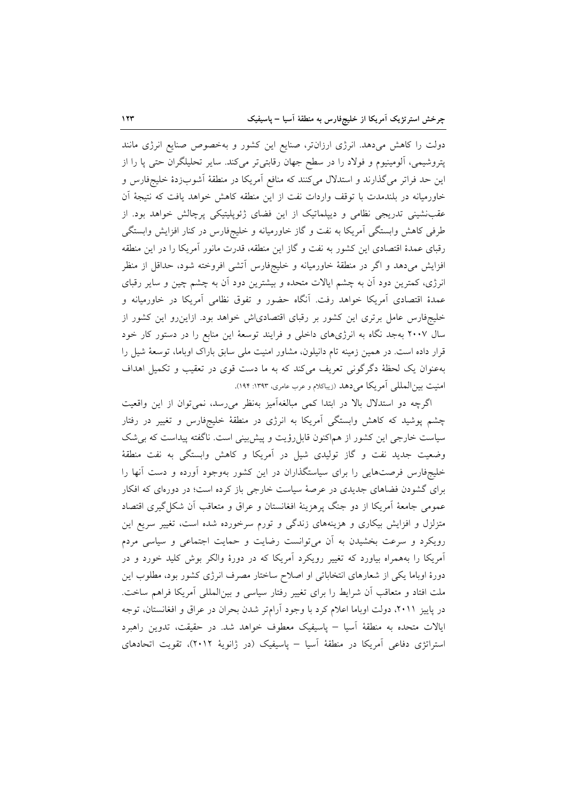دولت را کاهش میدهد. انرژی ارزانتر، صنایع این کشور و بهخصوص صنایع انرژی مانند پتروشیمی، آلومینیوم و فولاد را در سطح جهان رقابتی تر میکند. سایر تحلیلگران حتی پا را از این حد فراتر میگذارند و استدلال میکنند که منافع آمریکا در منطقهٔ آشوبزدهٔ خلیجفارس و خاورمیانه در بلندمدت با توقف واردات نفت از این منطقه کاهش خواهد یافت که نتیجهٔ آن عقبنشینی تدریجی نظامی و دیپلماتیک از این فضای ژئوپلیتیکی پرچالش خواهد بود. از طرفی کاهش وابستگی آمریکا به نفت و گاز خاورمیانه و خلیجفارس در کنار افزایش وابستگی رقبای عمدهٔ اقتصادی این کشور به نفت و گاز این منطقه، قدرت مانور آمریکا را در این منطقه افزایش میدهد و اگر در منطقهٔ خاورمیانه و خلیجفارس آتشی افروخته شود، حداقل از منظر انرژی، کمترین دود اَن به چشم ایالات متحده و بیشترین دود اَن به چشم چین و سایر رقبای عمدهٔ اقتصادی آمریکا خواهد رفت. آنگاه حضور و تفوق نظامی آمریکا در خاورمیانه و خلیجفارس عامل برتری این کشور بر رقبای اقتصادیاش خواهد بود. ازاین رو این کشور از سال ۲۰۰۷ بهجد نگاه به انرژیهای داخلی و فرایند توسعهٔ این منابع را در دستور کار خود قرار داده است. در همین زمینه تام دانیلون، مشاور امنیت ملی سابق باراک اوباما، توسعهٔ شیل را بهعنوان یک لحظهٔ دگرگونی تعریف میکند که به ما دست قوی در تعقیب و تکمیل اهداف امنیت بین المللی آمریکا می دهد (زیباکلام و عرب عامری، ۱۳۹۳: ۱۹۴).

اگرچه دو استدلال بالا در ابتدا کمی مبالغهآمیز بهنظر می رسد، نمی توان از این واقعیت چشم پوشید که کاهش وابستگی اَمریکا به انرژی در منطقهٔ خلیجفارس و تغییر در رفتار سیاست خارجی این کشور از هماکنون قابل رؤیت و پیش بینی است. ناگفته پیداست که بی شک وضعیت جدید نفت و گاز تولیدی شیل در آمریکا و کاهش وابستگی به نفت منطقهٔ خلیجفارس فرصتهایی را برای سیاستگذاران در این کشور بهوجود آورده و دست آنها را برای گشودن فضاهای جدیدی در عرصهٔ سیاست خارجی باز کرده است؛ در دورهای که افکار عمومي جامعهٔ اَمريکا از دو جنگ پرهزينهٔ افغانستان و عراق و متعاقب اَن شکل گيري اقتصاد متزلزل و افزایش بیکاری و هزینههای زندگی و تورم سرخورده شده است، تغییر سریع این رویکرد و سرعت بخشیدن به آن میتوانست رضایت و حمایت اجتماعی و سیاسی مردم آمریکا را بههمراه بیاورد که تغییر رویکرد آمریکا که در دورهٔ والکر بوش کلید خورد و در دورهٔ اوباما یکی از شعارهای انتخاباتی او اصلاح ساختار مصرف انرژی کشور بود، مطلوب این ملت افتاد و متعاقب آن شرایط را برای تغییر رفتار سیاسی و بینالمللی آمریکا فراهم ساخت. در پاییز ۲۰۱۱، دولت اوباما اعلام کرد با وجود آرامتر شدن بحران در عراق و افغانستان، توجه ایالات متحده به منطقهٔ آسیا – پاسیفیک معطوف خواهد شد. در حقیقت، تدوین راهبرد استراتژی دفاعی آمریکا در منطقهٔ آسیا – پاسیفیک (در ژانویهٔ ۲۰۱۲)، تقویت اتحادهای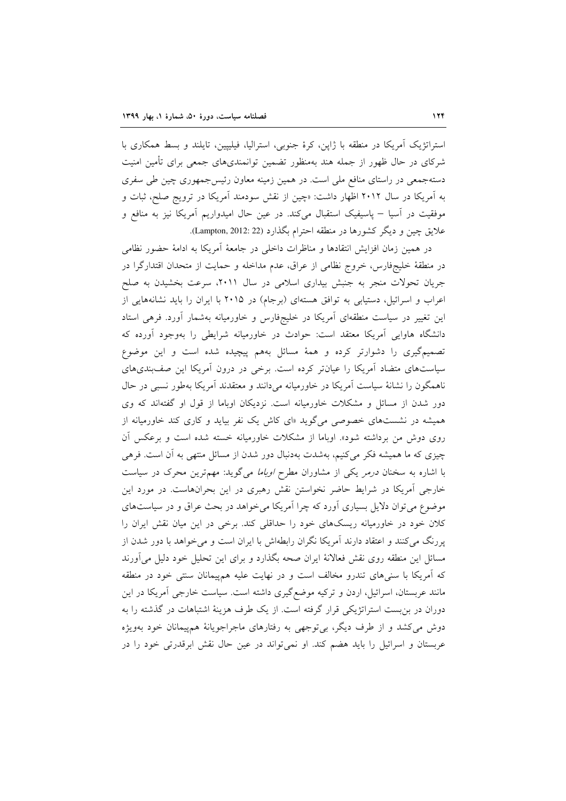استراتژیک آمریکا در منطقه با ژاپن، کرهٔ جنوبی، استرالیا، فیلیپین، تایلند و بسط همکاری با شرکای در حال ظهور از جمله هند بهمنظور تضمین توانمندی،های جمعی برای تأمین امنیت دستهجمعی در راستای منافع ملی است. در همین زمینه معاون رئیسجمهوری چین طی سفری به آمریکا در سال ۲۰۱۲ اظهار داشت: «چین از نقش سودمند آمریکا در ترویج صلح، ثبات و موفقیت در آسیا – پاسیفیک استقبال میکند. در عین حال امیدواریم آمریکا نیز به منافع و علايق چين و ديگر كشورها در منطقه احترام بگذارد (Lampton, 2012: 22).

در همين زمان افزايش انتقادها و مناظرات داخلي در جامعهٔ آمريكا به ادامهٔ حضور نظامي در منطقهٔ خلیجفارس، خروج نظامی از عراق، عدم مداخله و حمایت از متحدان اقتدارگرا در جریان تحولات منجر به جنبش بیداری اسلامی در سال ۲۰۱۱، سرعت بخشیدن به صلح اعراب و اسرائیل، دستیابی به توافق هستهای (برجام) در ۲۰۱۵ با ایران را باید نشانههایی از این تغییر در سیاست منطقهای آمریکا در خلیجفارس و خاورمیانه بهشمار آورد. فرهی استاد دانشگاه هاوایی أمریکا معتقد است: حوادث در خاورمیانه شرایطی را بهوجود أورده که تصمیمگیری را دشوارتر کرده و همهٔ مسائل بههم پیچیده شده است و این موضوع سیاستهای متضاد آمریکا را عیانتر کرده است. برخی در درون آمریکا این صفبندیهای ناهمگون را نشانهٔ سیاست آمریکا در خاورمیانه میدانند و معتقدند آمریکا بهطور نسبی در حال دور شدن از مسائل و مشکلات خاورمیانه است. نزدیکان اوباما از قول او گفتهاند که وی همیشه در نشستهای خصوصی میگوید «ای کاش یک نفر بیاید و کاری کند خاورمیانه از روی دوش من برداشته شود». اوباما از مشکلات خاورمیانه خسته شده است و برعکس آن چیزی که ما همیشه فکر میکنیم، بهشدت بهدنبال دور شدن از مسائل منتهی به آن است. فرهی با اشاره به سخنان *درمر* یکی از مشاوران مطرح *اوباما می گوید: مهم ترین محرک در سیاست* خارجی آمریکا در شرایط حاضر نخواستن نقش رهبری در این بحرانهاست. در مورد این موضوع می توان دلایل بسیاری آورد که چرا آمریکا می خواهد در بحث عراق و در سیاستهای کلان خود در خاورمیانه ریسکهای خود را حداقلی کند. برخی در این میان نقش ایران را پررنگ می کنند و اعتقاد دارند آمریکا نگران رابطهاش با ایران است و می خواهد با دور شدن از مسائل این منطقه روی نقش فعالانهٔ ایران صحه بگذارد و برای این تحلیل خود دلیل میآورند که آمریکا با سنیهای تندرو مخالف است و در نهایت علیه همپیمانان سنتی خود در منطقه مانند عربستان، اسرائیل، اردن و ترکیه موضع گیری داشته است. سیاست خارجی آمریکا در این دوران در بن بست استراتژیکی قرار گرفته است. از یک طرف هزینهٔ اشتباهات در گذشته را به دوش می کشد و از طرف دیگر، بی توجهی به رفتارهای ماجراجویانهٔ همهپیمانان خود بهویژه عربستان و اسرائیل را باید هضم کند. او نمی تواند در عین حال نقش ابرقدرتی خود را در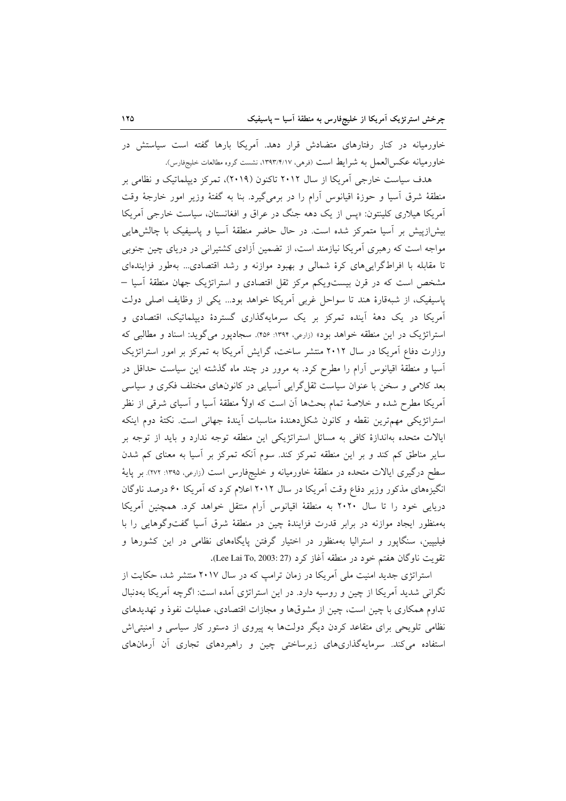خاورمیانه در کنار رفتارهای متضادش قرار دهد. آمریکا بارها گفته است سیاستش در خاورميانه عكس|لعمل به شرايط است (فرهي، ١٣٩٣/٢/١٧، نشست گروه مطالعات خليجفارس).

هدف سیاست خارجی آمریکا از سال ۲۰۱۲ تاکنون (۲۰۱۹)، تمرکز دیپلماتیک و نظامی بر منطقهٔ شرق اسیا و حوزهٔ اقیانوس آرام را در برمیگیرد. بنا به گفتهٔ وزیر امور خارجهٔ وقت آمریکا هیلاری کلینتون: «پس از یک دهه جنگ در عراق و افغانستان، سیاست خارجی آمریکا بیش(زییش بر آسیا متمرکز شده است. در حال حاضر منطقهٔ آسیا و پاسیفیک با چالشهایی مواجه است که رهبری آمریکا نیازمند است، از تضمین آزادی کشتیرانی در دریای چین جنوبی تا مقابله با افراطگراییهای کرهٔ شمالی و بهبود موازنه و رشد اقتصادی... بهطور فزایندهای مشخص است که در قرن بیستویکم مرکز ثقل اقتصادی و استراتژیک جهان منطقهٔ اَسیا – یاسیفیک، از شبهقارهٔ هند تا سواحل غربی آمریکا خواهد بود... یکی از وظایف اصلی دولت آمریکا در یک دههٔ آینده تمرکز بر یک سرمایهگذاری گستردهٔ دیپلماتیک، اقتصادی و استراتژیک در این منطقه خواهد بود» (زارعی، ۱۳۹۴: ۴۵۶). سجادپور میگوید: اسناد و مطالبی که وزارت دفاع آمریکا در سال ۲۰۱۲ منتشر ساخت، گرایش آمریکا به تمرکز بر امور استراتژیک آسیا و منطقهٔ اقیانوس آرام را مطرح کرد. به مرور در چند ماه گذشته این سیاست حداقل در بعد کلامی و سخن با عنوان سیاست ثقل گرایی آسیایی در کانونهای مختلف فکری و سیاسی آمریکا مطرح شده و خلاصهٔ تمام بحثها آن است که اولاً منطقهٔ آسیا و آسیای شرقی از نظر استراتژیکی مهم ترین نقطه و کانون شکل دهندهٔ مناسبات آیندهٔ جهانی است. نکتهٔ دوم اینکه ایالات متحده بهاندازهٔ کافی به مسائل استراتژیکی این منطقه توجه ندارد و باید از توجه بر سایر مناطق کم کند و بر این منطقه تمرکز کند. سوم آنکه تمرکز بر آسیا به معنای کم شدن سطح درگیری ایالات متحده در منطقهٔ خاورمیانه و خلیجفارس است (زارعی، ۱۳۹۵: ۲۷۲). بر پایهٔ انگیزههای مذکور وزیر دفاع وقت آمریکا در سال ۲۰۱۲ اعلام کرد که آمریکا ۶۰ درصد ناوگان دریایی خود را تا سال ۲۰۲۰ به منطقهٔ اقیانوس آرام منتقل خواهد کرد. همچنین آمریکا بهمنظور ایجاد موازنه در برابر قدرت فزایندهٔ چین در منطقهٔ شرق آسیا گفتوگوهایی را با فیلیپین، سنگاپور و استرالیا بهمنظور در اختیار گرفتن پایگاههای نظامی در این کشورها و تقويت ناوگان هفتم خود در منطقه آغاز كرد (Lee Lai To, 2003: 27).

استراتژی جدید امنیت ملی آمریکا در زمان ترامب که در سال ۲۰۱۷ منتشر شد، حکایت از نگرانی شدید آمریکا از چین و روسیه دارد. در این استراتژی آمده است: اگرچه آمریکا بهدنبال تداوم همکاری با چین است، چین از مشوقها و مجازات اقتصادی، عملیات نفوذ و تهدیدهای نظامی تلویحی برای متقاعد کردن دیگر دولتها به پیروی از دستور کار سیاسی و امنیتی اش استفاده میکند. سرمایهگذاریهای زیرساختی چین و راهبردهای تجاری آن آرمانهای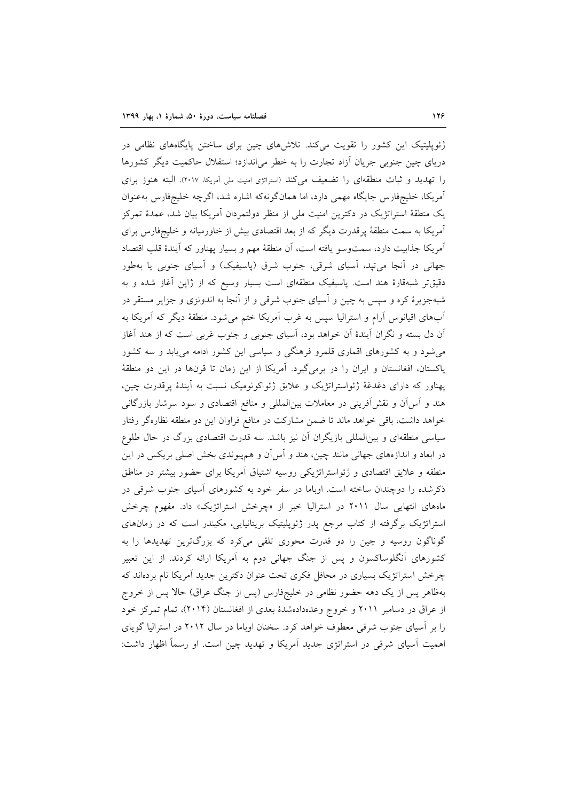ژئوپلیتیک این کشور را تقویت میکند. تلاشرهای چین برای ساختن پایگاههای نظامی در دریای چین جنوبی جریان آزاد تجارت را به خطر می|ندازد؛ استقلال حاکمیت دیگر کشورها را تهدید و ثبات منطقهای را تضعیف میکند (استراتزی امنیت ملی آمریکا، ٢٠١٧). البته هنوز برای آمریکا، خلیجفارس جایگاه مهمی دارد، اما همانگونهکه اشاره شد، اگرچه خلیجفارس بهعنوان یک منطقهٔ استراتژیک در دکترین امنیت ملی از منظر دولتمردان آمریکا بیان شد، عمدهٔ تمرکز آمریکا به سمت منطقهٔ پرقدرت دیگر که از بعد اقتصادی بیش از خاورمیانه و خلیجفارس برای آمريكا جذابيت دارد، سمتوسو يافته است، أن منطقهٔ مهم و بسيار پهناور كه آيندهٔ قلب اقتصاد جهانی در آنجا می تبد، آسیای شرقی، جنوب شرق (پاسیفیک) و آسیای جنوبی یا بهطور دقیقتر شبهقارهٔ هند است. پاسیفیک منطقهای است بسیار وسیع که از ژاپن آغاز شده و به شبهجزیرهٔ کره و سپس به چین و آسیای جنوب شرقی و از آنجا به اندونزی و جزایر مستقر در آبهای اقیانوس آرام و استرالیا سپس به غرب آمریکا ختم می شود. منطقهٔ دیگر که آمریکا به آن دل بسته و نگران آیندهٔ آن خواهد بود، آسیای جنوبی و جنوب غربی است که از هند آغاز می شود و به کشورهای اقماری قلمرو فرهنگی و سیاسی این کشور ادامه می یابد و سه کشور پاکستان، افغانستان و ایران را در برمی گیرد. آمریکا از این زمان تا قرنها در این دو منطقهٔ پهناور که دارای دغدغهٔ ژئواستراتژیک و علایق ژئواکونومیک نسبت به آیندهٔ پرقدرت چین، هند و آس آن و نقش آفرینی در معاملات بینالمللی و منافع اقتصادی و سود سرشار بازرگانی خواهد داشت، باقی خواهد ماند تا ضمن مشارکت در منافع فراوان این دو منطقه نظارهگر رفتار سیاسی منطقهای و بین|لمللی بازیگران آن نیز باشد. سه قدرت اقتصادی بزرگ در حال طلوع در ابعاد و اندازههای جهانی مانند چین، هند و آس[ن و همهیوندی بخش اصلی بریکس در این منطقه و علایق اقتصادی و ژئواستراتژیکی روسیه اشتیاق آمریکا برای حضور بیشتر در مناطق ذکرشده را دوچندان ساخته است. اوباما در سفر خود به کشورهای آسیای جنوب شرقی در ماههای انتهایی سال ۲۰۱۱ در استرالیا خبر از «چرخش استراتژیک» داد. مفهوم چرخش استراتژیک برگرفته از کتاب مرجع پدر ژئوپلیتیک بریتانیایی، مکیندر است که در زمانهای گوناگون روسیه و چین را دو قدرت محوری تلقی میکرد که بزرگترین تهدیدها را به کشورهای آنگلوساکسون و پس از جنگ جهانی دوم به آمریکا ارائه کردند. از این تعبیر چرخش استراتژیک بسیاری در محافل فکری تحت عنوان دکترین جدید آمریکا نام بردهاند که بهظاهر پس از یک دهه حضور نظامی در خلیجفارس (پس از جنگ عراق) حالا پس از خروج از عراق در دسامبر ۲۰۱۱ و خروج وعدهدادهشدهٔ بعدی از افغانستان (۲۰۱۴)، تمام تمرکز خود را بر آسیای جنوب شرقی معطوف خواهد کرد. سخنان اوباما در سال ۲۰۱۲ در استرالیا گویای اهمیت آسیای شرقی در استراتژی جدید آمریکا و تهدید چین است. او رسماً اظهار داشت: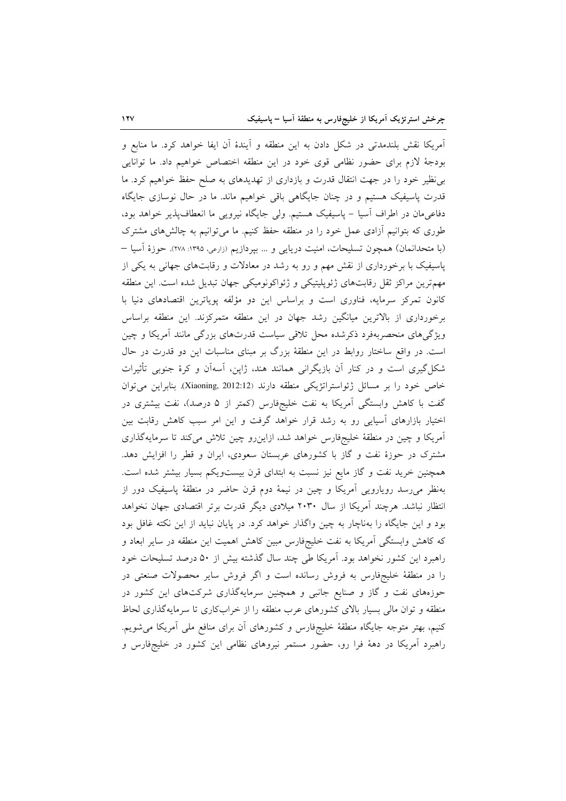آمريكا نقش بلندمدتي در شكل دادن به اين منطقه و آيندهٔ آن ايفا خواهد كرد. ما منابع و بودجهٔ لازم برای حضور نظامی قوی خود در این منطقه اختصاص خواهیم داد. ما توانایی بی نظیر خود را در جهت انتقال قدرت و بازداری از تهدیدهای به صلح حفظ خواهیم کرد. ما قدرت پاسیفیک هستیم و در چنان جایگاهی باقی خواهیم ماند. ما در حال نوسازی جایگاه دفاعیمان در اطراف اّسیا – پاسیفیک هستیم. ولی جایگاه نیرویی ما انعطافپذیر خواهد بود، طوری که بتوانیم آزادی عمل خود را در منطقه حفظ کنیم. ما می توانیم به چالشهای مشترک (با متحدانمان) همچون تسلیحات، امنیت دریایی و … بپردازیم (زارعی، ۱۳۹۵: ۲۷۸). حوزهٔ اَسیا — پاسیفیک با برخورداری از نقش مهم و رو به رشد در معادلات و رقابتهای جهانی به یکی از مهمترین مراکز ثقل رقابتهای ژئوپلیتیکی و ژئواکونومیکی جهان تبدیل شده است. این منطقه کانون تمرکز سرمایه، فناوری است و براساس این دو مؤلفه یوپاترین اقتصادهای دنیا با برخورداری از بالاترین میانگین رشد جهان در این منطقه متمرکزند. این منطقه براساس ویژگیهای منحصربهفرد ذکرشده محل تلاقی سیاست قدرتهای بزرگی مانند أمریکا و چین است. در واقع ساختار روابط در این منطقهٔ بزرگ بر مبنای مناسبات این دو قدرت در حال شکل گیری است و در کنار آن بازیگرانی همانند هند، ژاپن، آسهآن و کرهٔ جنوبی تأثیرات خاص خود را بر مسائل ژئواستراتژیکی منطقه دارند (Xiaoning, 2012:12). بنابراین می توان گفت با کاهش وابستگی آمریکا به نفت خلیجفارس (کمتر از ۵ درصد)، نفت بیشتری در اختیار بازارهای آسیایی رو به رشد قرار خواهد گرفت و این امر سبب کاهش رقابت بین آمریکا و چین در منطقهٔ خلیجفارس خواهد شد، ازاین رو چین تلاش میکند تا سرمایهگذاری مشترک در حوزهٔ نفت و گاز با کشورهای عربستان سعودی، ایران و قطر را افزایش دهد. همچنین خرید نفت و گاز مایع نیز نسبت به ابتدای قرن بیستویکم بسیار بیشتر شده است. بهنظر می رسد رویارویی آمریکا و چین در نیمهٔ دوم قرن حاضر در منطقهٔ پاسیفیک دور از انتظار نباشد. هرچند آمریکا از سال ۲۰۳۰ میلادی دیگر قدرت برتر اقتصادی جهان نخواهد بود و این جایگاه را بهناچار به چین واگذار خواهد کرد. در پایان نباید از این نکته غافل بود که کاهش وابستگی آمریکا به نفت خلیجفارس مبین کاهش اهمیت این منطقه در سایر ابعاد و راهبرد این کشور نخواهد بود. آمریکا طی چند سال گذشته بیش از ۵۰ درصد تسلیحات خود را در منطقهٔ خلیجفارس به فروش رسانده است و اگر فروش سایر محصولات صنعتی در حوزههای نفت و گاز و صنایع جانبی و همچنین سرمایهگذاری شرکتهای این کشور در منطقه و توان مالی بسیار بالای کشورهای عرب منطقه را از خرابکاری تا سرمایهگذاری لحاظ کنیم، بهتر متوجه جایگاه منطقهٔ خلیجفارس و کشورهای آن برای منافع ملی آمریکا میشویم. راهبرد آمریکا در دههٔ فرا رو، حضور مستمر نیروهای نظامی این کشور در خلیجفارس و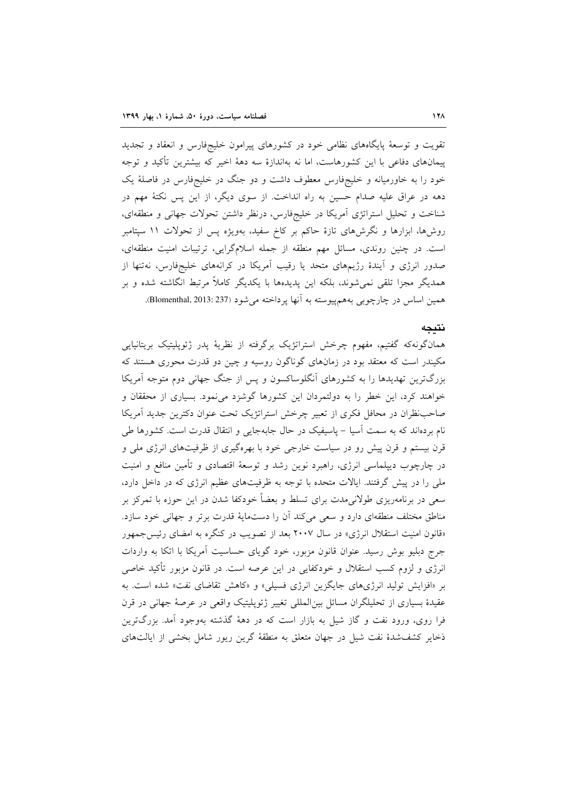تقویت و توسعهٔ پایگاههای نظامی خود در کشورهای پیرامون خلیجفارس و انعقاد و تجدید پیمانهای دفاعی با این کشورهاست، اما نه بهاندازهٔ سه دههٔ اخیر که بیشترین تأکید و توجه خود را به خاورمیانه و خلیجفارس معطوف داشت و دو جنگ در خلیجفارس در فاصلهٔ یک دهه در عراق علیه صدام حسین به راه انداخت. از سوی دیگر، از این پس نکتهٔ مهم در شناخت و تحلیل استراتژی آمریکا در خلیجفارس، درنظر داشتن تحولات جهانی و منطقهای، روشها، ابزارها و نگرشهای تازهٔ حاکم بر کاخ سفید، بهویژه پس از تحولات ۱۱ سپتامبر است. در چنین روندی، مسائل مهم منطقه از جمله اسلامگرایی، ترتیبات امنیت منطقهای، صدور انرژی و آیندهٔ رژیمهای متحد یا رقیب آمریکا در کرانههای خلیجفارس، نهتنها از همدیگر مجزا تلقی نمیشوند، بلکه این پدیدهها با یکدیگر کاملاً مرتبط انگاشته شده و بر همين اساس در چارچوبي بههم پيوسته به آنها پرداخته مي شود (Blomenthal, 2013: 237).

#### نتىحە

همانگونهکه گفتیم، مفهوم چرخش استراتژیک برگرفته از نظریهٔ پدر ژئوپلیتیک بریتانیایی مکیندر است که معتقد بود در زمانهای گوناگون روسیه و چین دو قدرت محوری هستند که بزرگترین تهدیدها را به کشورهای آنگلوساکسون و پس از جنگ جهانی دوم متوجه آمریکا خواهند کرد، این خطر را به دولتمردان این کشورها گوشزد می نمود. بسیاری از محققان و صاحب نظران در محافل فكرى از تعبير چرخش استراتژيك تحت عنوان دكترين جديد آمريكا نام بردهاند که به سمت اسیا – پاسیفیک در حال جابهجایی و انتقال قدرت است. کشورها طی قرن بیستم و قرن پیش رو در سیاست خارجی خود با بهرهگیری از ظرفیتهای انرژی ملی و در چارچوب دیپلماسی انرژی، راهبرد نوین رشد و توسعهٔ اقتصادی و تأمین منافع و امنیت ملی را در پیش گرفتند. ایالات متحده با توجه به ظرفیتهای عظیم انرژی که در داخل دارد، سعی در برنامهریزی طولانیمدت برای تسلط و بعضاً خودکفا شدن در این حوزه با تمرکز بر مناطق مختلف منطقهای دارد و سعی میکند آن را دستمایهٔ قدرت برتر و جهانی خود سازد. «قانون امنیت استقلال انرژی» در سال ۲۰۰۷ بعد از تصویب در کنگره به امضای رئیس جمهور جرج دبلیو بوش رسید. عنوان قانون مزبور، خود گویای حساسیت آمریکا با اتکا به واردات انرژی و لزوم کسب استقلال و خودکفایی در این عرصه است. در قانون مزبور تأکید خاصی بر «افزایش تولید انرژیهای جایگزین انرژی فسیلی» و «کاهش تقاضای نفت» شده است. به عقیدهٔ بسیاری از تحلیلگران مسائل بین المللی تغییر ژئوپلیتیک واقعی در عرصهٔ جهانی در قرن فرا روی، ورود نفت و گاز شیل به بازار است که در دههٔ گذشته بهوجود آمد. بزرگترین ذخایر کشفشدهٔ نفت شیل در جهان متعلق به منطقهٔ گرین ریور شامل بخشی از ایالتهای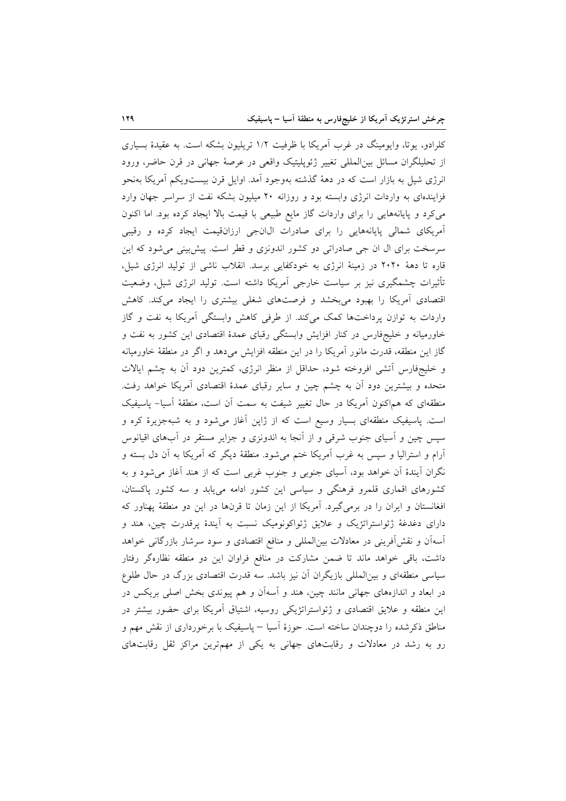کلرادو، یوتا، وایومینگ در غرب آمریکا با ظرفیت ۱/۲ تریلیون بشکه است. به عقیدهٔ بسیاری از تحليلگران مسائل بين|لمللي تغيير ژئويليتيک واقعي در عرصهٔ جهاني در قرن حاضر، ورود انرژی شیل به بازار است که در دههٔ گذشته بهوجود آمد. اوایل قرن بیستویکم آمریکا بهنحو فزایندهای به واردات انرژی وابسته بود و روزانه ۲۰ میلیون بشکه نفت از سراسر جهان وارد می کرد و پایانههایی را برای واردات گاز مایع طبیعی با قیمت بالا ایجاد کرده بود. اما اکنون آمریکای شمالی پایانههایی را برای صادرات ال انجی ارزانقیمت ایجاد کرده و رقیبی سرسخت برای ال ان جی صادراتی دو کشور اندونزی و قطر است. پیش بینی می شود که این قاره تا دههٔ ۲۰۲۰ در زمینهٔ انرژی به خودکفایی برسد. انقلاب ناشی از تولید انرژی شیل، تأثیرات چشمگیری نیز بر سیاست خارجی اَمریکا داشته است. تولید انرژی شیل، وضعیت اقتصادی آمریکا را بهبود میبخشد و فرصتهای شغلی بیشتری را ایجاد میکند. کاهش واردات به توازن یرداختها کمک میکند. از طرفی کاهش وابستگی آمریکا به نفت و گاز خاورمیانه و خلیجهفارس در کنار افزایش وابستگی رقبای عمدهٔ اقتصادی این کشور به نفت و گاز این منطقه، قدرت مانور آمریکا را در این منطقه افزایش میدهد و اگر در منطقهٔ خاورمیانه و خليجفارس آتشي افروخته شود، حداقل از منظر انرژي، كمترين دود آن به چشم ايالات متحده و بیشترین دود آن به چشم چین و سایر رقبای عمدهٔ اقتصادی آمریکا خواهد رفت. منطقهای که هماکنون آمریکا در حال تغییر شیفت به سمت آن است، منطقهٔ آسیا– پاسیفیک است. پاسیفیک منطقهای بسیار وسیع است که از ژاپن آغاز میشود و به شبهجزیرهٔ کره و سپس چین و آسیای جنوب شرقی و از آنجا به اندونزی و جزایر مستقر در آبهای اقیانوس آرام و استرالیا و سپس به غرب آمریکا ختم میشود. منطقهٔ دیگر که آمریکا به آن دل بسته و نگران آیندهٔ آن خواهد بود، آسیای جنوبی و جنوب غربی است که از هند آغاز میشود و به کشورهای اقماری قلمرو فرهنگی و سیاسی این کشور ادامه مییابد و سه کشور پاکستان، افغانستان و ایران را در برمی گیرد. آمریکا از این زمان تا قرنها در این دو منطقهٔ پهناور که دارای دغدغهٔ ژئواستراتژیک و علایق ژئواکونومیک نسبت به آیندهٔ پرقدرت چین، هند و آسهآن و نقش[فوینی در معادلات بین|لمللی و منافع اقتصادی و سود سرشار بازرگانی خواهد داشت، باقی خواهد ماند تا ضمن مشارکت در منافع فراوان این دو منطقه نظارهگر رفتار سیاسی منطقهای و بین|لمللی بازیگران آن نیز باشد. سه قدرت اقتصادی بزرگ در حال طلوع در ابعاد و اندازههای جهانی مانند چین، هند و آسهآن و هم پیوندی بخش اصلی بریکس در این منطقه و علایق اقتصادی و ژئواستراتژیکی روسیه، اشتیاق آمریکا برای حضور بیشتر در مناطق ذکرشده را دوچندان ساخته است. حوزهٔ آسیا – پاسیفیک با برخورداری از نقش مهم و رو به رشد در معادلات و رقابتهای جهانی به یکی از مهمترین مراکز ثقل رقابتهای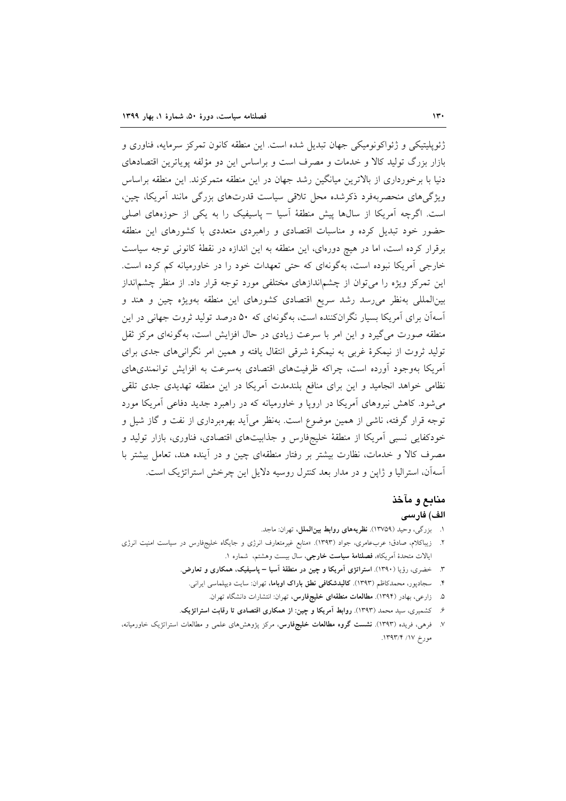ژئوپلیتیکی و ژئواکونومیکی جهان تبدیل شده است. این منطقه کانون تمرکز سرمایه، فناوری و بازار بزرگ تولید کالا و خدمات و مصرف است و براساس این دو مؤلفه یوپاترین اقتصادهای دنیا با برخورداری از بالاترین میانگین رشد جهان در این منطقه متمرکزند. این منطقه براساس ویژگیهای منحصربهفرد ذکرشده محل تلاقی سیاست قدرتهای بزرگی مانند آمریکا، چین، است. اگرچه آمریکا از سالها پیش منطقهٔ آسیا – یاسیفیک را به یکی از حوزههای اصلی حضور خود تبدیل کرده و مناسبات اقتصادی و راهبردی متعددی با کشورهای این منطقه برقرار کرده است، اما در هیچ دورهای، این منطقه به این اندازه در نقطهٔ کانونی توجه سیاست خارجی آمریکا نبوده است، بهگونهای که حتی تعهدات خود را در خاورمیانه کم کرده است. این تمرکز ویژه را میتوان از چشماندازهای مختلفی مورد توجه قرار داد. از منظر چشمانداز بین|لمللی بهنظر می رسد رشد سریع اقتصادی کشورهای این منطقه بهویژه چین و هند و آسهآن برای آمریکا بسیار نگرانکننده است، بهگونهای که ۵۰ درصد تولید ثروت جهانی در این منطقه صورت می گیرد و این امر با سرعت زیادی در حال افزایش است، بهگونهای مرکز ثقل تولید ثروت از نیمکرهٔ غربی به نیمکرهٔ شرقی انتقال یافته و همین امر نگرانی های جدی برای آمریکا بهوجود آورده است، چراکه ظرفیتهای اقتصادی بهسرعت به افزایش توانمندیهای نظامی خواهد انجامید و این برای منافع بلندمدت آمریکا در این منطقه تهدیدی جدی تلقی میشود. کاهش نیروهای آمریکا در اروپا و خاورمیانه که در راهبرد جدید دفاعی آمریکا مورد توجه قرار گرفته، ناشی از همین موضوع است. بهنظر می]ید بهرهبرداری از نفت و گاز شیل و خودکفایی نسبی آمریکا از منطقهٔ خلیجفارس و جذابیتهای اقتصادی، فناوری، بازار تولید و مصرف کالا و خدمات، نظارت بیشتر بر رفتار منطقهای چین و در آینده هند، تعامل بیشتر با أسهأن، استراليا و ژاپن و در مدار بعد كنترل روسيه دلايل اين چرخش استراتژيک است.

# منابع و مآخذ

# الف) فارسى

- ١. بزرگي، وحيد (١٣٧٥٩). نظريههاي روابط بين الملل، تهران: ماجد.
- ۲. زیباکلام، صادق؛ عربعامری، جواد (۱۳۹۳). «منابع غیرمتعارف انرژی و جایگاه خلیجفارس در سیاست امنیت انرژی ايالات متحدة آمريكا»، فصلنامة سياست خارجي، سال بيست وهشتم، شماره ١.
	- ۳. خضری، رؤیا (۱۳۹۰). استراتژی آمریکا و چین در منطقهٔ آسیا پاسیفیک، همکاری و تعارض.
		- ۴. سیجادپور، محمدکاظم (۱۳۹۳). **کالبدشکافی نطق باراک اوباما**، تهران: سایت دیپلماسی ایرانی.
			- ۵. زارعی، بهادر (۱۳۹۴). م**طالعات منطقهای خلیجفارس**، تهران: انتشارات دانشگاه تهران.
	- ۶. كشميري، سيد محمد (١٣٩٣). روابط آمريكا و چين: از همكاري اقتصادي تا رقابت استراتژيک.
- ۷. فرهی، فریده (۱۳۹۳). **نشست گروه مطالعات خلیجفارس**، مرکز پژوهش های علمی و مطالعات استراتژیک خاورمیانه، مورخ ١٧/ ١٣٩٣/٢.